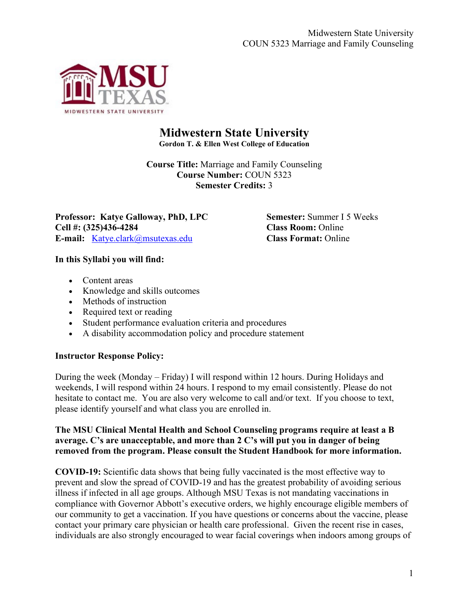

# **Midwestern State University**

**Gordon T. & Ellen West College of Education**

**Course Title:** Marriage and Family Counseling **Course Number:** COUN 5323 **Semester Credits:** 3

**Professor: Katye Galloway, PhD, LPC <b>Semester: Summer I 5 Weeks Cell #: (325)436-4284 Class Room:** Online **E-mail:** [Katye.clark@msutexas.edu](mailto:Katye.clark@msutexas.edu) **Class Format:** Online

### **In this Syllabi you will find:**

- Content areas
- Knowledge and skills outcomes
- Methods of instruction
- Required text or reading
- Student performance evaluation criteria and procedures
- A disability accommodation policy and procedure statement

# **Instructor Response Policy:**

During the week (Monday – Friday) I will respond within 12 hours. During Holidays and weekends, I will respond within 24 hours. I respond to my email consistently. Please do not hesitate to contact me. You are also very welcome to call and/or text. If you choose to text, please identify yourself and what class you are enrolled in.

#### **The MSU Clinical Mental Health and School Counseling programs require at least a B average. C's are unacceptable, and more than 2 C's will put you in danger of being removed from the program. Please consult the Student Handbook for more information.**

**COVID-19:** Scientific data shows that being fully vaccinated is the most effective way to prevent and slow the spread of COVID-19 and has the greatest probability of avoiding serious illness if infected in all age groups. Although MSU Texas is not mandating vaccinations in compliance with Governor Abbott's executive orders, we highly encourage eligible members of our community to get a vaccination. If you have questions or concerns about the vaccine, please contact your primary care physician or health care professional. Given the recent rise in cases, individuals are also strongly encouraged to wear facial coverings when indoors among groups of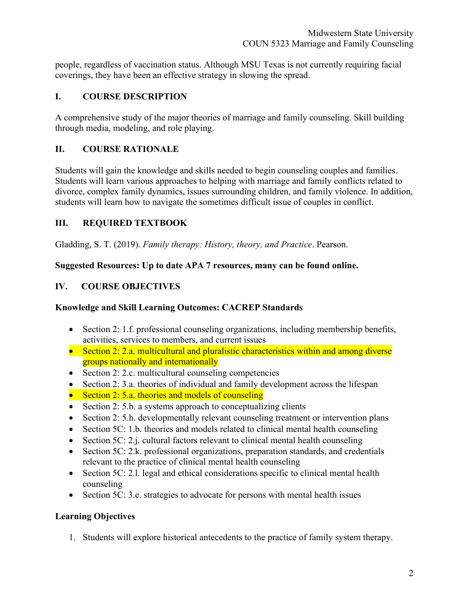people, regardless of vaccination status. Although MSU Texas is not currently requiring facial coverings, they have been an effective strategy in slowing the spread.

# **I. COURSE DESCRIPTION**

A comprehensive study of the major theories of marriage and family counseling. Skill building through media, modeling, and role playing.

### **II. COURSE RATIONALE**

Students will gain the knowledge and skills needed to begin counseling couples and families. Students will learn various approaches to helping with marriage and family conflicts related to divorce, complex family dynamics, issues surrounding children, and family violence. In addition, students will learn how to navigate the sometimes difficult issue of couples in conflict.

# **III. REQUIRED TEXTBOOK**

Gladding, S. T. (2019). *Family therapy: History, theory, and Practice*. Pearson.

### **Suggested Resources: Up to date APA 7 resources, many can be found online.**

# **IV. COURSE OBJECTIVES**

### **Knowledge and Skill Learning Outcomes: CACREP Standards**

- Section 2: 1.f. professional counseling organizations, including membership benefits, activities, services to members, and current issues
- Section 2: 2.a. multicultural and pluralistic characteristics within and among diverse groups nationally and internationally
- Section 2: 2.c. multicultural counseling competencies
- Section 2: 3.a. theories of individual and family development across the lifespan
- Section 2: 5.a. theories and models of counseling
- Section 2: 5.b. a systems approach to conceptualizing clients
- Section 2: 5.h. developmentally relevant counseling treatment or intervention plans
- Section 5C: 1.b. theories and models related to clinical mental health counseling
- Section 5C: 2.j. cultural factors relevant to clinical mental health counseling
- Section 5C: 2.k. professional organizations, preparation standards, and credentials relevant to the practice of clinical mental health counseling
- Section 5C: 2.1. legal and ethical considerations specific to clinical mental health counseling
- Section 5C: 3.e. strategies to advocate for persons with mental health issues

# **Learning Objectives**

1. Students will explore historical antecedents to the practice of family system therapy.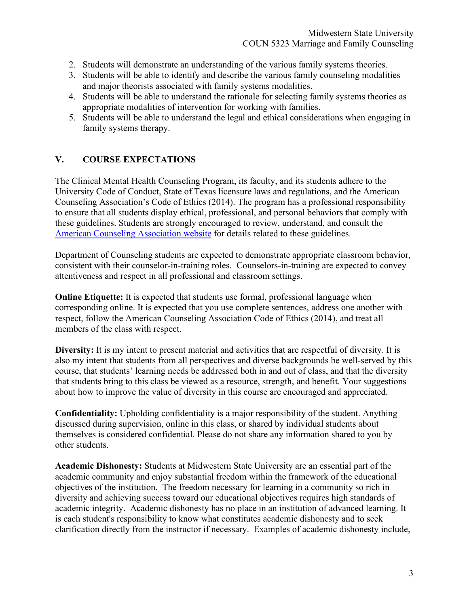- 2. Students will demonstrate an understanding of the various family systems theories.
- 3. Students will be able to identify and describe the various family counseling modalities and major theorists associated with family systems modalities.
- 4. Students will be able to understand the rationale for selecting family systems theories as appropriate modalities of intervention for working with families.
- 5. Students will be able to understand the legal and ethical considerations when engaging in family systems therapy.

# **V. COURSE EXPECTATIONS**

The Clinical Mental Health Counseling Program, its faculty, and its students adhere to the University Code of Conduct, State of Texas licensure laws and regulations, and the American Counseling Association's Code of Ethics (2014). The program has a professional responsibility to ensure that all students display ethical, professional, and personal behaviors that comply with these guidelines. Students are strongly encouraged to review, understand, and consult the [American Counseling Association website](https://www.counseling.org/resources/aca-code-of-ethics.pdf) for details related to these guidelines.

Department of Counseling students are expected to demonstrate appropriate classroom behavior, consistent with their counselor-in-training roles. Counselors-in-training are expected to convey attentiveness and respect in all professional and classroom settings.

**Online Etiquette:** It is expected that students use formal, professional language when corresponding online. It is expected that you use complete sentences, address one another with respect, follow the American Counseling Association Code of Ethics (2014), and treat all members of the class with respect.

**Diversity:** It is my intent to present material and activities that are respectful of diversity. It is also my intent that students from all perspectives and diverse backgrounds be well-served by this course, that students' learning needs be addressed both in and out of class, and that the diversity that students bring to this class be viewed as a resource, strength, and benefit. Your suggestions about how to improve the value of diversity in this course are encouraged and appreciated.

**Confidentiality:** Upholding confidentiality is a major responsibility of the student. Anything discussed during supervision, online in this class, or shared by individual students about themselves is considered confidential. Please do not share any information shared to you by other students.

**Academic Dishonesty:** Students at Midwestern State University are an essential part of the academic community and enjoy substantial freedom within the framework of the educational objectives of the institution. The freedom necessary for learning in a community so rich in diversity and achieving success toward our educational objectives requires high standards of academic integrity. Academic dishonesty has no place in an institution of advanced learning. It is each student's responsibility to know what constitutes academic dishonesty and to seek clarification directly from the instructor if necessary. Examples of academic dishonesty include,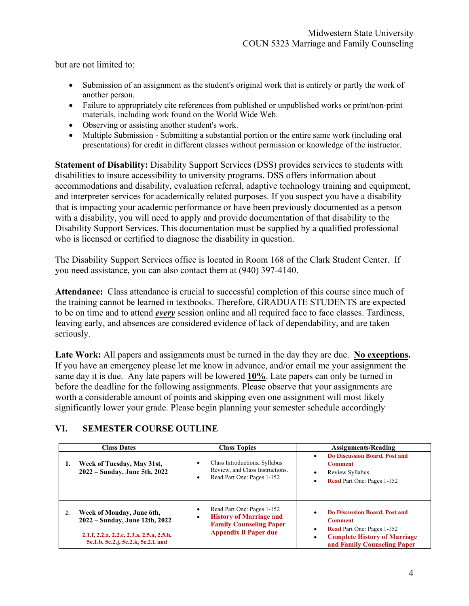but are not limited to:

- Submission of an assignment as the student's original work that is entirely or partly the work of another person.
- Failure to appropriately cite references from published or unpublished works or print/non-print materials, including work found on the World Wide Web.
- Observing or assisting another student's work.
- Multiple Submission Submitting a substantial portion or the entire same work (including oral presentations) for credit in different classes without permission or knowledge of the instructor.

**Statement of Disability:** Disability Support Services (DSS) provides services to students with disabilities to insure accessibility to university programs. DSS offers information about accommodations and disability, evaluation referral, adaptive technology training and equipment, and interpreter services for academically related purposes. If you suspect you have a disability that is impacting your academic performance or have been previously documented as a person with a disability, you will need to apply and provide documentation of that disability to the Disability Support Services. This documentation must be supplied by a qualified professional who is licensed or certified to diagnose the disability in question.

The Disability Support Services office is located in Room 168 of the Clark Student Center. If you need assistance, you can also contact them at (940) 397-4140.

**Attendance:** Class attendance is crucial to successful completion of this course since much of the training cannot be learned in textbooks. Therefore, GRADUATE STUDENTS are expected to be on time and to attend *every* session online and all required face to face classes. Tardiness, leaving early, and absences are considered evidence of lack of dependability, and are taken seriously.

**Late Work:** All papers and assignments must be turned in the day they are due. **No exceptions.** If you have an emergency please let me know in advance, and/or email me your assignment the same day it is due. Any late papers will be lowered **10%**. Late papers can only be turned in before the deadline for the following assignments. Please observe that your assignments are worth a considerable amount of points and skipping even one assignment will most likely significantly lower your grade. Please begin planning your semester schedule accordingly

# **VI. SEMESTER COURSE OUTLINE**

| <b>Class Dates</b> |                                                                                                                                                 | <b>Class Topics</b>                                                                                                                     | <b>Assignments/Reading</b>                                                                                                                                                               |  |
|--------------------|-------------------------------------------------------------------------------------------------------------------------------------------------|-----------------------------------------------------------------------------------------------------------------------------------------|------------------------------------------------------------------------------------------------------------------------------------------------------------------------------------------|--|
| 1.                 | Week of Tuesday, May 31st,<br>2022 – Sunday, June 5th, 2022                                                                                     | Class Introductions, Syllabus<br>Review, and Class Instructions.<br>Read Part One: Pages 1-152<br>٠                                     | Do Discussion Board, Post and<br>٠<br><b>Comment</b><br>Review Syllabus<br>$\bullet$<br><b>Read</b> Part One: Pages 1-152<br>٠                                                           |  |
| 2.                 | Week of Monday, June 6th,<br>2022 – Sunday, June 12th, 2022<br>2.1.f, 2.2.a, 2.2.c, 2.3.a, 2.5.a, 2.5.h,<br>5c.1.b, 5c.2.j, 5c.2.k, 5c.2.l, and | Read Part One: Pages 1-152<br>٠<br><b>History of Marriage and</b><br>٠<br><b>Family Counseling Paper</b><br><b>Appendix B Paper due</b> | <b>Do Discussion Board, Post and</b><br>$\bullet$<br><b>Comment</b><br><b>Read</b> Part One: Pages 1-152<br>٠<br><b>Complete History of Marriage</b><br>٠<br>and Family Counseling Paper |  |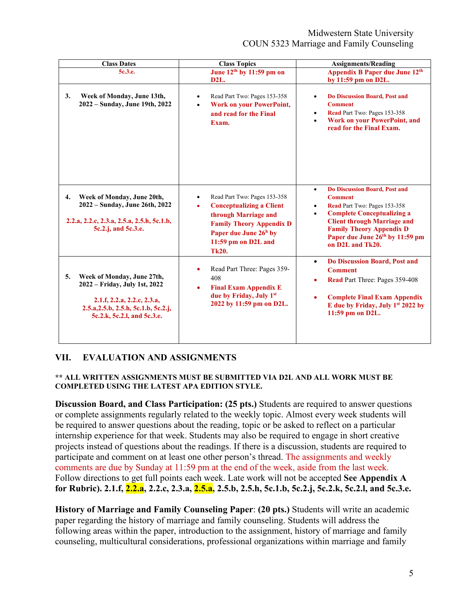### Midwestern State University COUN 5323 Marriage and Family Counseling

| <b>Class Dates</b>                                                                                                                                                      | <b>Class Topics</b>                                                                                                                                                                                                              | <b>Assignments/Reading</b>                                                                                                                                                                                                                                                                                     |  |  |
|-------------------------------------------------------------------------------------------------------------------------------------------------------------------------|----------------------------------------------------------------------------------------------------------------------------------------------------------------------------------------------------------------------------------|----------------------------------------------------------------------------------------------------------------------------------------------------------------------------------------------------------------------------------------------------------------------------------------------------------------|--|--|
| 5c.3.e.                                                                                                                                                                 | June 12 <sup>th</sup> by 11:59 pm on                                                                                                                                                                                             | Appendix B Paper due June 12 <sup>th</sup>                                                                                                                                                                                                                                                                     |  |  |
| 3.<br>Week of Monday, June 13th,<br>2022 - Sunday, June 19th, 2022                                                                                                      | D2L.<br>Read Part Two: Pages 153-358<br>$\bullet$<br><b>Work on your PowerPoint,</b><br>$\bullet$<br>and read for the Final<br>Exam.                                                                                             | by 11:59 pm on D2L.<br><b>Do Discussion Board, Post and</b><br>$\bullet$<br><b>Comment</b><br>Read Part Two: Pages 153-358<br>$\bullet$<br><b>Work on your PowerPoint, and</b><br>$\bullet$<br>read for the Final Exam.                                                                                        |  |  |
| Week of Monday, June 20th,<br>4.<br>2022 - Sunday, June 26th, 2022<br>2.2.a, 2.2.c, 2.3.a, 2.5.a, 2.5.h, 5c.1.b,<br>5c.2.j, and 5c.3.e.                                 | Read Part Two: Pages 153-358<br>$\bullet$<br><b>Conceptualizing a Client</b><br>$\bullet$<br>through Marriage and<br><b>Family Theory Appendix D</b><br>Paper due June 26 <sup>h</sup> by<br>11:59 pm on D2L and<br><b>Tk20.</b> | <b>Do Discussion Board, Post and</b><br>$\bullet$<br><b>Comment</b><br>Read Part Two: Pages 153-358<br>$\bullet$<br><b>Complete Conceptualizing a</b><br>$\bullet$<br><b>Client through Marriage and</b><br><b>Family Theory Appendix D</b><br>Paper due June 26 <sup>th</sup> by 11:59 pm<br>on D2L and Tk20. |  |  |
| Week of Monday, June 27th,<br>5.<br>2022 - Friday, July 1st, 2022<br>2.1.f, 2.2.a, 2.2.c, 2.3.a,<br>2.5.a, 2.5.b, 2.5.h, 5c.1.b, 5c.2.j,<br>5c.2.k, 5c.2.l, and 5c.3.e. | Read Part Three: Pages 359-<br>$\bullet$<br>408<br><b>Final Exam Appendix E</b><br>$\bullet$<br>due by Friday, July 1st<br>2022 by 11:59 pm on D2L.                                                                              | <b>Do Discussion Board, Post and</b><br>$\bullet$<br><b>Comment</b><br><b>Read</b> Part Three: Pages 359-408<br>$\bullet$<br><b>Complete Final Exam Appendix</b><br>$\bullet$<br>E due by Friday, July 1st 2022 by<br>11:59 pm on D2L.                                                                         |  |  |

# **VII. EVALUATION AND ASSIGNMENTS**

#### **\*\* ALL WRITTEN ASSIGNMENTS MUST BE SUBMITTED VIA D2L AND ALL WORK MUST BE COMPLETED USING THE LATEST APA EDITION STYLE.**

**Discussion Board, and Class Participation: (25 pts.)** Students are required to answer questions or complete assignments regularly related to the weekly topic. Almost every week students will be required to answer questions about the reading, topic or be asked to reflect on a particular internship experience for that week. Students may also be required to engage in short creative projects instead of questions about the readings. If there is a discussion, students are required to participate and comment on at least one other person's thread. The assignments and weekly comments are due by Sunday at 11:59 pm at the end of the week, aside from the last week. Follow directions to get full points each week. Late work will not be accepted **See Appendix A for Rubric). 2.1.f, 2.2.a, 2.2.c, 2.3.a, 2.5.a, 2.5.b, 2.5.h, 5c.1.b, 5c.2.j, 5c.2.k, 5c.2.l, and 5c.3.e.**

**History of Marriage and Family Counseling Paper**: **(20 pts.)** Students will write an academic paper regarding the history of marriage and family counseling. Students will address the following areas within the paper, introduction to the assignment, history of marriage and family counseling, multicultural considerations, professional organizations within marriage and family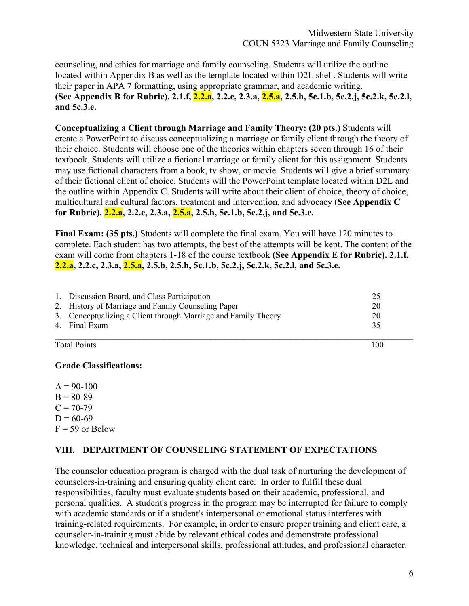counseling, and ethics for marriage and family counseling. Students will utilize the outline located within Appendix B as well as the template located within D2L shell. Students will write their paper in APA 7 formatting, using appropriate grammar, and academic writing. **(See Appendix B for Rubric). 2.1.f, 2.2.a, 2.2.c, 2.3.a, 2.5.a, 2.5.h, 5c.1.b, 5c.2.j, 5c.2.k, 5c.2.l, and 5c.3.e.**

**Conceptualizing a Client through Marriage and Family Theory: (20 pts.)** Students will create a PowerPoint to discuss conceptualizing a marriage or family client through the theory of their choice. Students will choose one of the theories within chapters seven through 16 of their textbook. Students will utilize a fictional marriage or family client for this assignment. Students may use fictional characters from a book, tv show, or movie. Students will give a brief summary of their fictional client of choice. Students will the PowerPoint template located within D2L and the outline within Appendix C. Students will write about their client of choice, theory of choice, multicultural and cultural factors, treatment and intervention, and advocacy (**See Appendix C for Rubric). 2.2.a, 2.2.c, 2.3.a, 2.5.a, 2.5.h, 5c.1.b, 5c.2.j, and 5c.3.e.**

**Final Exam: (35 pts.)** Students will complete the final exam. You will have 120 minutes to complete. Each student has two attempts, the best of the attempts will be kept. The content of the exam will come from chapters 1-18 of the course textbook **(See Appendix E for Rubric). 2.1.f, 2.2.a, 2.2.c, 2.3.a, 2.5.a, 2.5.b, 2.5.h, 5c.1.b, 5c.2.j, 5c.2.k, 5c.2.l, and 5c.3.e.**

| 1. Discussion Board, and Class Participation                   |    |
|----------------------------------------------------------------|----|
| 2. History of Marriage and Family Counseling Paper             | 20 |
| 3. Conceptualizing a Client through Marriage and Family Theory | 20 |
| 4. Final Exam                                                  | 35 |
|                                                                |    |

Total Points 100

#### **Grade Classifications:**

 $A = 90-100$  $B = 80-89$  $C = 70-79$  $D = 60-69$  $F = 59$  or Below

#### **VIII. DEPARTMENT OF COUNSELING STATEMENT OF EXPECTATIONS**

The counselor education program is charged with the dual task of nurturing the development of counselors-in-training and ensuring quality client care. In order to fulfill these dual responsibilities, faculty must evaluate students based on their academic, professional, and personal qualities. A student's progress in the program may be interrupted for failure to comply with academic standards or if a student's interpersonal or emotional status interferes with training-related requirements. For example, in order to ensure proper training and client care, a counselor-in-training must abide by relevant ethical codes and demonstrate professional knowledge, technical and interpersonal skills, professional attitudes, and professional character.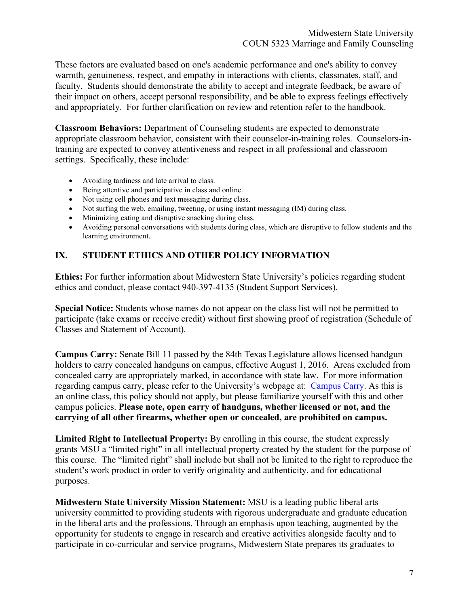These factors are evaluated based on one's academic performance and one's ability to convey warmth, genuineness, respect, and empathy in interactions with clients, classmates, staff, and faculty. Students should demonstrate the ability to accept and integrate feedback, be aware of their impact on others, accept personal responsibility, and be able to express feelings effectively and appropriately. For further clarification on review and retention refer to the handbook.

**Classroom Behaviors:** Department of Counseling students are expected to demonstrate appropriate classroom behavior, consistent with their counselor-in-training roles. Counselors-intraining are expected to convey attentiveness and respect in all professional and classroom settings. Specifically, these include:

- Avoiding tardiness and late arrival to class.
- Being attentive and participative in class and online.
- Not using cell phones and text messaging during class.
- Not surfing the web, emailing, tweeting, or using instant messaging (IM) during class.
- Minimizing eating and disruptive snacking during class.
- Avoiding personal conversations with students during class, which are disruptive to fellow students and the learning environment.

# **IX. STUDENT ETHICS AND OTHER POLICY INFORMATION**

**Ethics:** For further information about Midwestern State University's policies regarding student ethics and conduct, please contact 940-397-4135 (Student Support Services).

**Special Notice:** Students whose names do not appear on the class list will not be permitted to participate (take exams or receive credit) without first showing proof of registration (Schedule of Classes and Statement of Account).

**Campus Carry:** Senate Bill 11 passed by the 84th Texas Legislature allows licensed handgun holders to carry concealed handguns on campus, effective August 1, 2016. Areas excluded from concealed carry are appropriately marked, in accordance with state law. For more information regarding campus carry, please refer to the University's webpage at: [Campus Carry.](https://msutexas.edu/campus-carry/index.php#:%7E:text=The%20law%20does%20NOT%20allow%20open%20carry%20on%20campus.&text=It%20is%20now%20%E2%80%94%20and%20will,%2C%20sidewalks%2C%20walkways%2C%20etc.) As this is an online class, this policy should not apply, but please familiarize yourself with this and other campus policies. **Please note, open carry of handguns, whether licensed or not, and the carrying of all other firearms, whether open or concealed, are prohibited on campus.**

**Limited Right to Intellectual Property:** By enrolling in this course, the student expressly grants MSU a "limited right" in all intellectual property created by the student for the purpose of this course. The "limited right" shall include but shall not be limited to the right to reproduce the student's work product in order to verify originality and authenticity, and for educational purposes.

**Midwestern State University Mission Statement:** MSU is a leading public liberal arts university committed to providing students with rigorous undergraduate and graduate education in the liberal arts and the professions. Through an emphasis upon teaching, augmented by the opportunity for students to engage in research and creative activities alongside faculty and to participate in co-curricular and service programs, Midwestern State prepares its graduates to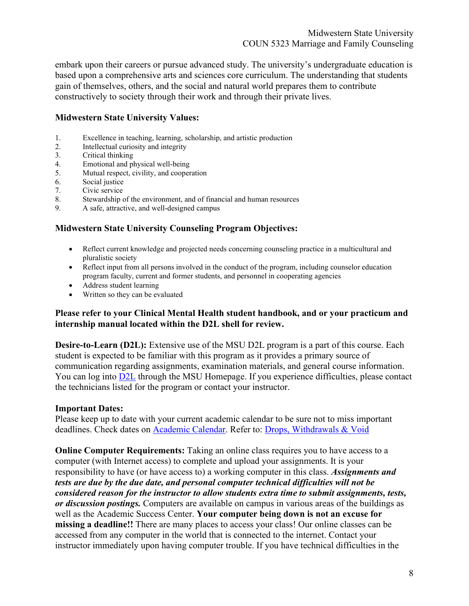embark upon their careers or pursue advanced study. The university's undergraduate education is based upon a comprehensive arts and sciences core curriculum. The understanding that students gain of themselves, others, and the social and natural world prepares them to contribute constructively to society through their work and through their private lives.

#### **Midwestern State University Values:**

- 1. Excellence in teaching, learning, scholarship, and artistic production
- 2. Intellectual curiosity and integrity
- 3. Critical thinking<br>4. Emotional and p
- 4. Emotional and physical well-being<br>5. Mutual respect, civility, and cooper
- Mutual respect, civility, and cooperation
- 6. Social justice
- 7. Civic service
- 8. Stewardship of the environment, and of financial and human resources
- 9. A safe, attractive, and well-designed campus

#### **Midwestern State University Counseling Program Objectives:**

- Reflect current knowledge and projected needs concerning counseling practice in a multicultural and pluralistic society
- Reflect input from all persons involved in the conduct of the program, including counselor education program faculty, current and former students, and personnel in cooperating agencies
- Address student learning
- Written so they can be evaluated

#### **Please refer to your Clinical Mental Health student handbook, and or your practicum and internship manual located within the D2L shell for review.**

**Desire-to-Learn (D2L):** Extensive use of the MSU D2L program is a part of this course. Each student is expected to be familiar with this program as it provides a primary source of communication regarding assignments, examination materials, and general course information. You can log into [D2L](https://d2l.msutexas.edu/d2l/login) through the MSU Homepage. If you experience difficulties, please contact the technicians listed for the program or contact your instructor.

#### **Important Dates:**

Please keep up to date with your current academic calendar to be sure not to miss important deadlines. Check dates on [Academic Calendar.](https://msutexas.edu/registrar/calendars.php) Refer to: [Drops, Withdrawals & Void](https://msutexas.edu/student-life/dean/withdrawal.php)

**Online Computer Requirements:** Taking an online class requires you to have access to a computer (with Internet access) to complete and upload your assignments. It is your responsibility to have (or have access to) a working computer in this class. *Assignments and tests are due by the due date, and personal computer technical difficulties will not be considered reason for the instructor to allow students extra time to submit assignments, tests, or discussion postings.* Computers are available on campus in various areas of the buildings as well as the Academic Success Center. **Your computer being down is not an excuse for missing a deadline!!** There are many places to access your class! Our online classes can be accessed from any computer in the world that is connected to the internet. Contact your instructor immediately upon having computer trouble. If you have technical difficulties in the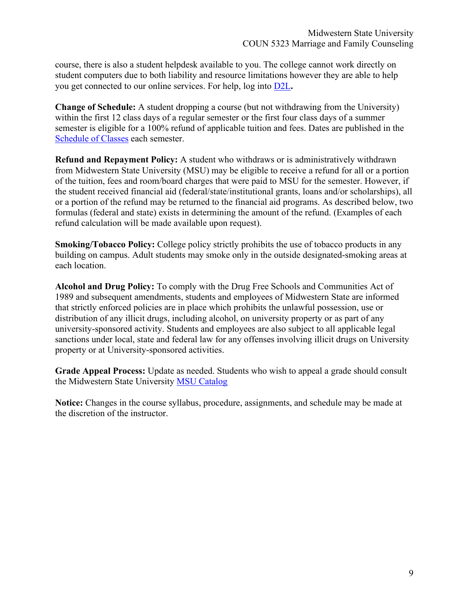course, there is also a student helpdesk available to you. The college cannot work directly on student computers due to both liability and resource limitations however they are able to help you get connected to our online services. For help, log into [D2L](https://d2l.msutexas.edu/d2l/login)**.** 

**Change of Schedule:** A student dropping a course (but not withdrawing from the University) within the first 12 class days of a regular semester or the first four class days of a summer semester is eligible for a 100% refund of applicable tuition and fees. Dates are published in the [Schedule of Classes](https://msutexas.edu/registrar/schedule/) each semester.

**Refund and Repayment Policy:** A student who withdraws or is administratively withdrawn from Midwestern State University (MSU) may be eligible to receive a refund for all or a portion of the tuition, fees and room/board charges that were paid to MSU for the semester. However, if the student received financial aid (federal/state/institutional grants, loans and/or scholarships), all or a portion of the refund may be returned to the financial aid programs. As described below, two formulas (federal and state) exists in determining the amount of the refund. (Examples of each refund calculation will be made available upon request).

**Smoking/Tobacco Policy:** College policy strictly prohibits the use of tobacco products in any building on campus. Adult students may smoke only in the outside designated-smoking areas at each location.

**Alcohol and Drug Policy:** To comply with the Drug Free Schools and Communities Act of 1989 and subsequent amendments, students and employees of Midwestern State are informed that strictly enforced policies are in place which prohibits the unlawful possession, use or distribution of any illicit drugs, including alcohol, on university property or as part of any university-sponsored activity. Students and employees are also subject to all applicable legal sanctions under local, state and federal law for any offenses involving illicit drugs on University property or at University-sponsored activities.

**Grade Appeal Process:** Update as needed. Students who wish to appeal a grade should consult the Midwestern State University [MSU Catalog](https://msutexas.edu/registrar/catalog/)

**Notice:** Changes in the course syllabus, procedure, assignments, and schedule may be made at the discretion of the instructor.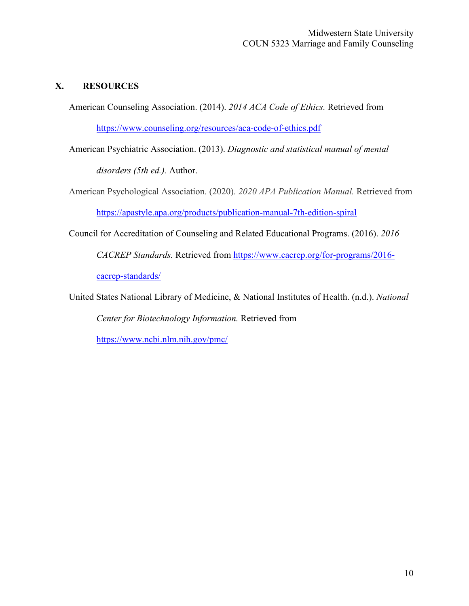### **X. RESOURCES**

American Counseling Association. (2014). *2014 ACA Code of Ethics.* Retrieved from <https://www.counseling.org/resources/aca-code-of-ethics.pdf>

American Psychiatric Association. (2013). *Diagnostic and statistical manual of mental disorders (5th ed.).* Author.

American Psychological Association. (2020). *2020 APA Publication Manual.* Retrieved from <https://apastyle.apa.org/products/publication-manual-7th-edition-spiral>

Council for Accreditation of Counseling and Related Educational Programs. (2016). *2016 CACREP Standards.* Retrieved from [https://www.cacrep.org/for-programs/2016](https://www.cacrep.org/for-programs/2016-cacrep-standards/) [cacrep-standards/](https://www.cacrep.org/for-programs/2016-cacrep-standards/)

United States National Library of Medicine, & National Institutes of Health. (n.d.). *National Center for Biotechnology Information.* Retrieved from <https://www.ncbi.nlm.nih.gov/pmc/>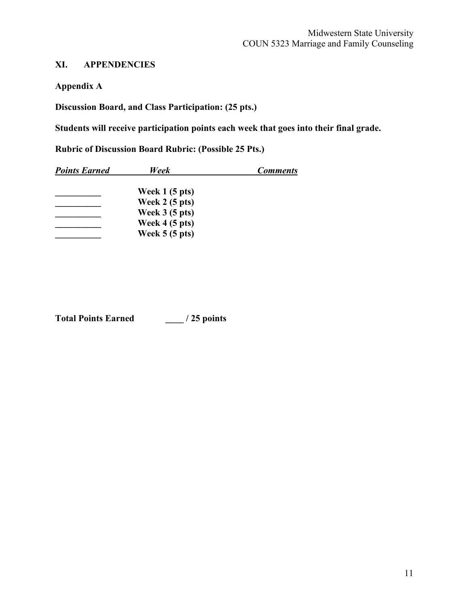# **XI. APPENDENCIES**

**Appendix A**

**Discussion Board, and Class Participation: (25 pts.)**

**Students will receive participation points each week that goes into their final grade.**

**Rubric of Discussion Board Rubric: (Possible 25 Pts.)**

| <b>Points Earned</b> | Week                    | <b>Comments</b> |
|----------------------|-------------------------|-----------------|
|                      | Week $1(5$ pts)         |                 |
|                      | Week $2(5$ pts)         |                 |
|                      | Week $3(5$ pts)         |                 |
|                      | Week $4(5 \text{ pts})$ |                 |
|                      | Week $5(5$ pts)         |                 |

**Total Points Earned \_\_\_\_ / 25 points**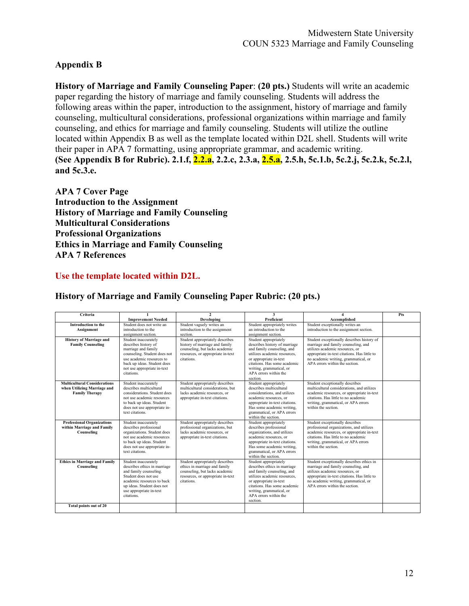# **Appendix B**

**History of Marriage and Family Counseling Paper**: **(20 pts.)** Students will write an academic paper regarding the history of marriage and family counseling. Students will address the following areas within the paper, introduction to the assignment, history of marriage and family counseling, multicultural considerations, professional organizations within marriage and family counseling, and ethics for marriage and family counseling. Students will utilize the outline located within Appendix B as well as the template located within D2L shell. Students will write their paper in APA 7 formatting, using appropriate grammar, and academic writing. **(See Appendix B for Rubric). 2.1.f, 2.2.a, 2.2.c, 2.3.a, 2.5.a, 2.5.h, 5c.1.b, 5c.2.j, 5c.2.k, 5c.2.l, and 5c.3.e.**

**APA 7 Cover Page Introduction to the Assignment History of Marriage and Family Counseling Multicultural Considerations Professional Organizations Ethics in Marriage and Family Counseling APA 7 References**

#### **Use the template located within D2L.**

| Criteria                                                                                    | $\mathbf{1}$                                                                                                                                                                                                 | $\mathbf{2}$                                                                                                                                           | 3                                                                                                                                                                                                                                               |                                                                                                                                                                                                                                                | Pts |
|---------------------------------------------------------------------------------------------|--------------------------------------------------------------------------------------------------------------------------------------------------------------------------------------------------------------|--------------------------------------------------------------------------------------------------------------------------------------------------------|-------------------------------------------------------------------------------------------------------------------------------------------------------------------------------------------------------------------------------------------------|------------------------------------------------------------------------------------------------------------------------------------------------------------------------------------------------------------------------------------------------|-----|
|                                                                                             | <b>Improvement Needed</b>                                                                                                                                                                                    | Developing                                                                                                                                             | Proficient                                                                                                                                                                                                                                      | Accomplished                                                                                                                                                                                                                                   |     |
| Introduction to the<br>Assignment                                                           | Student does not write an<br>introduction to the<br>assignment section.                                                                                                                                      | Student vaguely writes an<br>introduction to the assignment<br>section.                                                                                | Student appropriately writes<br>an introduction to the<br>assignment section.                                                                                                                                                                   | Student exceptionally writes an<br>introduction to the assignment section.                                                                                                                                                                     |     |
| <b>History of Marriage and</b><br><b>Family Counseling</b>                                  | Student inaccurately<br>describes history of<br>marriage and family<br>counseling. Student does not<br>use academic resources to<br>back up ideas. Student does<br>not use appropriate in-text<br>citations. | Student appropriately describes<br>history of marriage and family<br>counseling, but lacks academic<br>resources, or appropriate in-text<br>citations. | Student appropriately<br>describes history of marriage<br>and family counseling, and<br>utilizes academic resources,<br>or appropriate in-text<br>citations. Has some academic<br>writing, grammatical, or<br>APA errors within the<br>section. | Student exceptionally describes history of<br>marriage and family counseling, and<br>utilizes academic resources, or<br>appropriate in-text citations. Has little to<br>no academic writing, grammatical, or<br>APA errors within the section. |     |
| <b>Multicultural Considerations</b><br>when Utilizing Marriage and<br><b>Family Therapy</b> | Student inaccurately<br>describes multicultural<br>considerations. Student does<br>not use academic resources<br>to back up ideas. Student<br>does not use appropriate in-<br>text citations.                | Student appropriately describes<br>multicultural considerations, but<br>lacks academic resources, or<br>appropriate in-text citations.                 | Student appropriately<br>describes multicultural<br>considerations, and utilizes<br>academic resources, or<br>appropriate in-text citations.<br>Has some academic writing,<br>grammatical, or APA errors<br>within the section.                 | Student exceptionally describes<br>multicultural considerations, and utilizes<br>academic resources, or appropriate in-text<br>citations. Has little to no academic<br>writing, grammatical, or APA errors<br>within the section.              |     |
| <b>Professional Organizations</b><br>within Marriage and Family<br>Counseling               | Student inaccurately<br>describes professional<br>organizations. Student does<br>not use academic resources<br>to back up ideas. Student<br>does not use appropriate in-<br>text citations.                  | Student appropriately describes<br>professional organizations, but<br>lacks academic resources, or<br>appropriate in-text citations.                   | Student appropriately<br>describes professional<br>organizations, and utilizes<br>academic resources, or<br>appropriate in-text citations.<br>Has some academic writing,<br>grammatical, or APA errors<br>within the section.                   | Student exceptionally describes<br>professional organizations, and utilizes<br>academic resources, or appropriate in-text<br>citations. Has little to no academic<br>writing, grammatical, or APA errors<br>within the section.                |     |
| <b>Ethics in Marriage and Family</b><br>Counseling                                          | Student inaccurately<br>describes ethics in marriage<br>and family counseling.<br>Student does not use<br>academic resources to back<br>up ideas. Student does not<br>use appropriate in-text<br>citations.  | Student appropriately describes<br>ethics in marriage and family<br>counseling, but lacks academic<br>resources, or appropriate in-text<br>citations.  | Student appropriately<br>describes ethics in marriage<br>and family counseling, and<br>utilizes academic resources.<br>or appropriate in-text<br>citations. Has some academic<br>writing, grammatical, or<br>APA errors within the<br>section.  | Student exceptionally describes ethics in<br>marriage and family counseling, and<br>utilizes academic resources, or<br>appropriate in-text citations. Has little to<br>no academic writing, grammatical, or<br>APA errors within the section.  |     |
| Total points out of 20                                                                      |                                                                                                                                                                                                              |                                                                                                                                                        |                                                                                                                                                                                                                                                 |                                                                                                                                                                                                                                                |     |

#### **History of Marriage and Family Counseling Paper Rubric: (20 pts.)**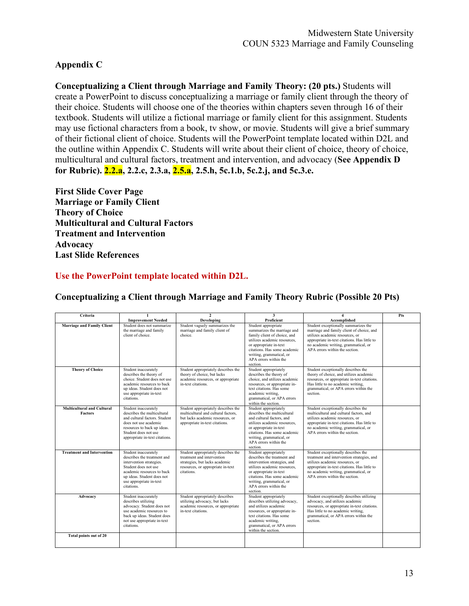# **Appendix C**

**Conceptualizing a Client through Marriage and Family Theory: (20 pts.)** Students will create a PowerPoint to discuss conceptualizing a marriage or family client through the theory of their choice. Students will choose one of the theories within chapters seven through 16 of their textbook. Students will utilize a fictional marriage or family client for this assignment. Students may use fictional characters from a book, tv show, or movie. Students will give a brief summary of their fictional client of choice. Students will the PowerPoint template located within D2L and the outline within Appendix C. Students will write about their client of choice, theory of choice, multicultural and cultural factors, treatment and intervention, and advocacy (**See Appendix D for Rubric). 2.2.a, 2.2.c, 2.3.a, 2.5.a, 2.5.h, 5c.1.b, 5c.2.j, and 5c.3.e.**

**First Slide Cover Page Marriage or Family Client Theory of Choice Multicultural and Cultural Factors Treatment and Intervention Advocacy Last Slide References**

### **Use the PowerPoint template located within D2L.**

| Criteria                                            | 1<br><b>Improvement Needed</b>                                                                                                                                                                               | $\mathbf{2}$<br>Developing                                                                                                                             | 3<br>Proficient                                                                                                                                                                                                                                 | 4<br>Accomplished                                                                                                                                                                                                                              | Pts |
|-----------------------------------------------------|--------------------------------------------------------------------------------------------------------------------------------------------------------------------------------------------------------------|--------------------------------------------------------------------------------------------------------------------------------------------------------|-------------------------------------------------------------------------------------------------------------------------------------------------------------------------------------------------------------------------------------------------|------------------------------------------------------------------------------------------------------------------------------------------------------------------------------------------------------------------------------------------------|-----|
| <b>Marriage and Family Client</b>                   | Student does not summarize<br>the marriage and family<br>client of choice.                                                                                                                                   | Student vaguely summarizes the<br>marriage and family client of<br>choice.                                                                             | Student appropriate<br>summarizes the marriage and<br>family client of choice, and<br>utilizes academic resources.<br>or appropriate in-text<br>citations. Has some academic<br>writing, grammatical, or<br>APA errors within the<br>section.   | Student exceptionally summarizes the<br>marriage and family client of choice, and<br>utilizes academic resources, or<br>appropriate in-text citations. Has little to<br>no academic writing, grammatical, or<br>APA errors within the section. |     |
| <b>Theory of Choice</b>                             | Student inaccurately<br>describes the theory of<br>choice. Student does not use<br>academic resources to back<br>up ideas. Student does not<br>use appropriate in-text<br>citations.                         | Student appropriately describes the<br>theory of choice, but lacks<br>academic resources, or appropriate<br>in-text citations.                         | Student appropriately<br>describes the theory of<br>choice, and utilizes academic<br>resources, or appropriate in-<br>text citations. Has some<br>academic writing,<br>grammatical, or APA errors<br>within the section.                        | Student exceptionally describes the<br>theory of choice, and utilizes academic<br>resources, or appropriate in-text citations.<br>Has little to no academic writing,<br>grammatical, or APA errors within the<br>section.                      |     |
| <b>Multicultural and Cultural</b><br><b>Factors</b> | Student inaccurately<br>describes the multicultural<br>and cultural factors. Student<br>does not use academic<br>resources to back up ideas.<br>Student does not use<br>appropriate in-text citations.       | Student appropriately describes the<br>multicultural and cultural factors.<br>but lacks academic resources, or<br>appropriate in-text citations.       | Student appropriately<br>describes the multicultural<br>and cultural factors, and<br>utilizes academic resources.<br>or appropriate in-text<br>citations. Has some academic<br>writing, grammatical, or<br>APA errors within the<br>section.    | Student exceptionally describes the<br>multicultural and cultural factors, and<br>utilizes academic resources, or<br>appropriate in-text citations. Has little to<br>no academic writing, grammatical, or<br>APA errors within the section.    |     |
| <b>Treatment and Intervention</b>                   | Student inaccurately<br>describes the treatment and<br>intervention strategies.<br>Student does not use<br>academic resources to back<br>up ideas. Student does not<br>use appropriate in-text<br>citations. | Student appropriately describes the<br>treatment and intervention<br>strategies, but lacks academic<br>resources, or appropriate in-text<br>citations. | Student appropriately<br>describes the treatment and<br>intervention strategies, and<br>utilizes academic resources,<br>or appropriate in-text<br>citations. Has some academic<br>writing, grammatical, or<br>APA errors within the<br>section. | Student exceptionally describes the<br>treatment and intervention strategies, and<br>utilizes academic resources, or<br>appropriate in-text citations. Has little to<br>no academic writing, grammatical, or<br>APA errors within the section. |     |
| Advocacy                                            | Student inaccurately<br>describes utilizing<br>advocacy. Student does not<br>use academic resources to<br>back up ideas. Student does<br>not use appropriate in-text<br>citations.                           | Student appropriately describes<br>utilizing advocacy, but lacks<br>academic resources, or appropriate<br>in-text citations.                           | Student appropriately<br>describes utilizing advocacy,<br>and utilizes academic<br>resources, or appropriate in-<br>text citations. Has some<br>academic writing,<br>grammatical, or APA errors<br>within the section.                          | Student exceptionally describes utilizing<br>advocacy, and utilizes academic<br>resources, or appropriate in-text citations.<br>Has little to no academic writing,<br>grammatical, or APA errors within the<br>section.                        |     |
| Total points out of 20                              |                                                                                                                                                                                                              |                                                                                                                                                        |                                                                                                                                                                                                                                                 |                                                                                                                                                                                                                                                |     |

#### **Conceptualizing a Client through Marriage and Family Theory Rubric (Possible 20 Pts)**